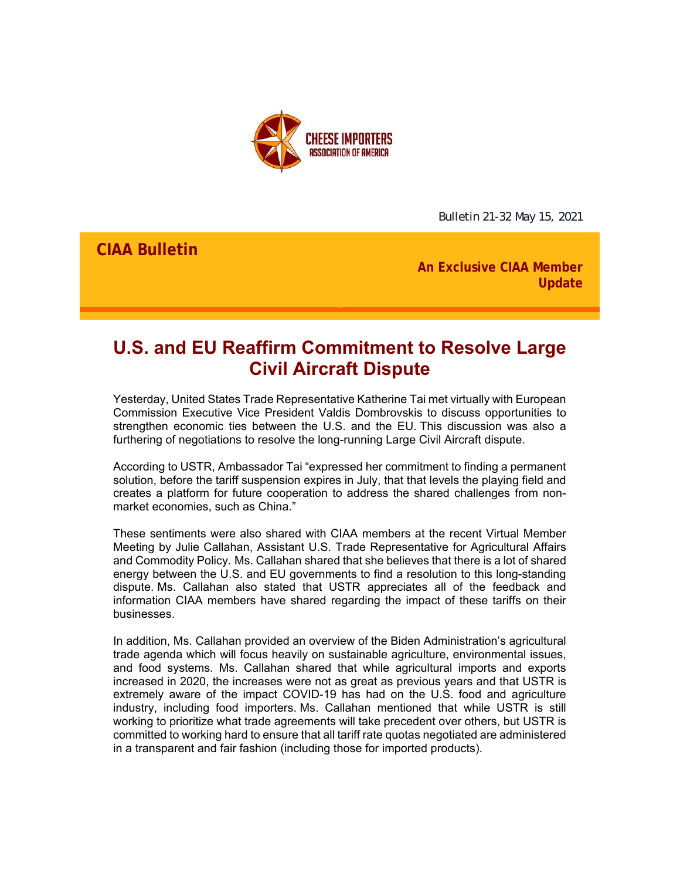

Bulletin 21-32 May 15, 2021

**CIAA Bulletin**

**An Exclusive CIAA Member Update**

# **U.S. and EU Reaffirm Commitment to Resolve Large Civil Aircraft Dispute**

Yesterday, United States Trade Representative Katherine Tai met virtually with European Commission Executive Vice President Valdis Dombrovskis to discuss opportunities to strengthen economic ties between the U.S. and the EU. This discussion was also a furthering of negotiations to resolve the long-running Large Civil Aircraft dispute.

According to USTR, Ambassador Tai "expressed her commitment to finding a permanent solution, before the tariff suspension expires in July, that that levels the playing field and creates a platform for future cooperation to address the shared challenges from nonmarket economies, such as China."

These sentiments were also shared with CIAA members at the recent Virtual Member Meeting by Julie Callahan, Assistant U.S. Trade Representative for Agricultural Affairs and Commodity Policy. Ms. Callahan shared that she believes that there is a lot of shared energy between the U.S. and EU governments to find a resolution to this long-standing dispute. Ms. Callahan also stated that USTR appreciates all of the feedback and information CIAA members have shared regarding the impact of these tariffs on their businesses.

In addition, Ms. Callahan provided an overview of the Biden Administration's agricultural trade agenda which will focus heavily on sustainable agriculture, environmental issues, and food systems. Ms. Callahan shared that while agricultural imports and exports increased in 2020, the increases were not as great as previous years and that USTR is extremely aware of the impact COVID-19 has had on the U.S. food and agriculture industry, including food importers. Ms. Callahan mentioned that while USTR is still working to prioritize what trade agreements will take precedent over others, but USTR is committed to working hard to ensure that all tariff rate quotas negotiated are administered in a transparent and fair fashion (including those for imported products).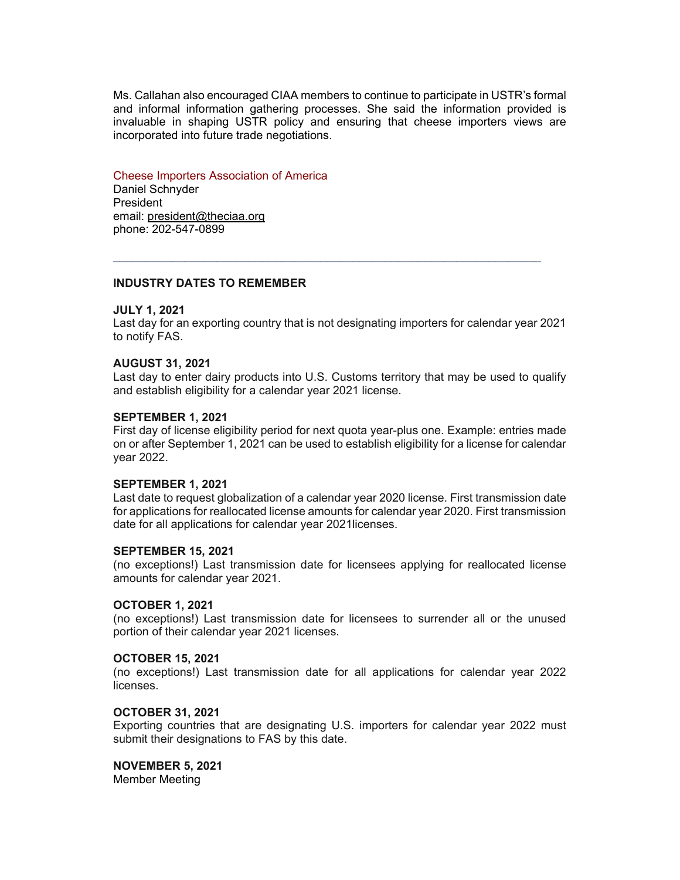Ms. Callahan also encouraged CIAA members to continue to participate in USTR's formal and informal information gathering processes. She said the information provided is invaluable in shaping USTR policy and ensuring that cheese importers views are incorporated into future trade negotiations.

## Cheese Importers Association of America

Daniel Schnyder **President** email: president@theciaa.org phone: 202-547-0899

## **INDUSTRY DATES TO REMEMBER**

## **JULY 1, 2021**

Last day for an exporting country that is not designating importers for calendar year 2021 to notify FAS.

 $\mathcal{L}_\mathcal{L} = \{ \mathcal{L}_\mathcal{L} = \{ \mathcal{L}_\mathcal{L} = \{ \mathcal{L}_\mathcal{L} = \{ \mathcal{L}_\mathcal{L} = \{ \mathcal{L}_\mathcal{L} = \{ \mathcal{L}_\mathcal{L} = \{ \mathcal{L}_\mathcal{L} = \{ \mathcal{L}_\mathcal{L} = \{ \mathcal{L}_\mathcal{L} = \{ \mathcal{L}_\mathcal{L} = \{ \mathcal{L}_\mathcal{L} = \{ \mathcal{L}_\mathcal{L} = \{ \mathcal{L}_\mathcal{L} = \{ \mathcal{L}_\mathcal{$ 

#### **AUGUST 31, 2021**

Last day to enter dairy products into U.S. Customs territory that may be used to qualify and establish eligibility for a calendar year 2021 license.

#### **SEPTEMBER 1, 2021**

First day of license eligibility period for next quota year-plus one. Example: entries made on or after September 1, 2021 can be used to establish eligibility for a license for calendar year 2022.

#### **SEPTEMBER 1, 2021**

Last date to request globalization of a calendar year 2020 license. First transmission date for applications for reallocated license amounts for calendar year 2020. First transmission date for all applications for calendar year 2021licenses.

#### **SEPTEMBER 15, 2021**

(no exceptions!) Last transmission date for licensees applying for reallocated license amounts for calendar year 2021.

## **OCTOBER 1, 2021**

(no exceptions!) Last transmission date for licensees to surrender all or the unused portion of their calendar year 2021 licenses.

#### **OCTOBER 15, 2021**

(no exceptions!) Last transmission date for all applications for calendar year 2022 licenses.

#### **OCTOBER 31, 2021**

Exporting countries that are designating U.S. importers for calendar year 2022 must submit their designations to FAS by this date.

# **NOVEMBER 5, 2021**

Member Meeting